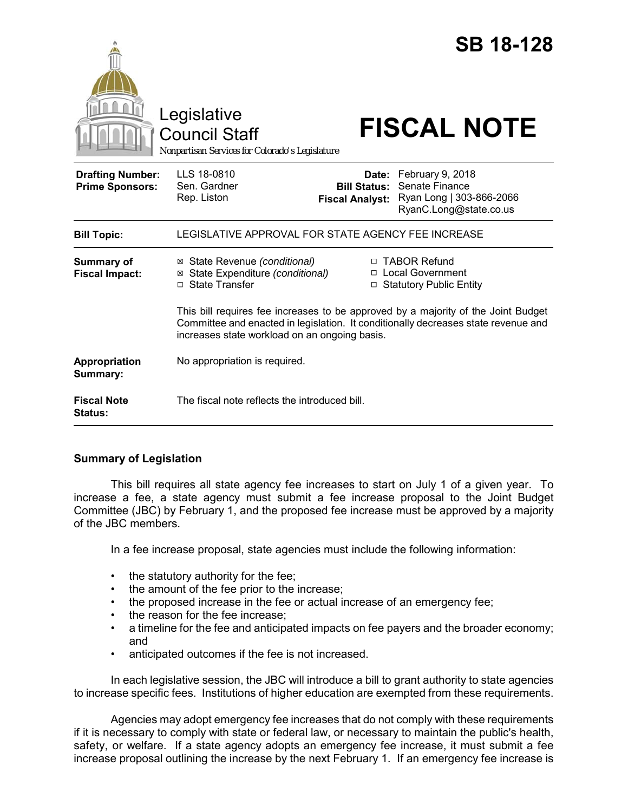|                                                   | Legislative<br><b>Council Staff</b><br>Nonpartisan Services for Colorado's Legislature                                                                                                                                   |                                               | <b>SB 18-128</b><br><b>FISCAL NOTE</b>                                                         |
|---------------------------------------------------|--------------------------------------------------------------------------------------------------------------------------------------------------------------------------------------------------------------------------|-----------------------------------------------|------------------------------------------------------------------------------------------------|
| <b>Drafting Number:</b><br><b>Prime Sponsors:</b> | LLS 18-0810<br>Sen. Gardner<br>Rep. Liston                                                                                                                                                                               | <b>Bill Status:</b><br><b>Fiscal Analyst:</b> | Date: February 9, 2018<br>Senate Finance<br>Ryan Long   303-866-2066<br>RyanC.Long@state.co.us |
| <b>Bill Topic:</b>                                | LEGISLATIVE APPROVAL FOR STATE AGENCY FEE INCREASE                                                                                                                                                                       |                                               |                                                                                                |
| <b>Summary of</b><br><b>Fiscal Impact:</b>        | ⊠ State Revenue (conditional)<br>⊠ State Expenditure (conditional)<br>□ State Transfer                                                                                                                                   |                                               | □ TABOR Refund<br>□ Local Government<br>□ Statutory Public Entity                              |
|                                                   | This bill requires fee increases to be approved by a majority of the Joint Budget<br>Committee and enacted in legislation. It conditionally decreases state revenue and<br>increases state workload on an ongoing basis. |                                               |                                                                                                |
| Appropriation<br>Summary:                         | No appropriation is required.                                                                                                                                                                                            |                                               |                                                                                                |
| <b>Fiscal Note</b><br><b>Status:</b>              | The fiscal note reflects the introduced bill.                                                                                                                                                                            |                                               |                                                                                                |

## **Summary of Legislation**

This bill requires all state agency fee increases to start on July 1 of a given year. To increase a fee, a state agency must submit a fee increase proposal to the Joint Budget Committee (JBC) by February 1, and the proposed fee increase must be approved by a majority of the JBC members.

In a fee increase proposal, state agencies must include the following information:

- the statutory authority for the fee;
- the amount of the fee prior to the increase;
- the proposed increase in the fee or actual increase of an emergency fee;
- the reason for the fee increase;
- a timeline for the fee and anticipated impacts on fee payers and the broader economy; and
- anticipated outcomes if the fee is not increased.

In each legislative session, the JBC will introduce a bill to grant authority to state agencies to increase specific fees. Institutions of higher education are exempted from these requirements.

Agencies may adopt emergency fee increases that do not comply with these requirements if it is necessary to comply with state or federal law, or necessary to maintain the public's health, safety, or welfare. If a state agency adopts an emergency fee increase, it must submit a fee increase proposal outlining the increase by the next February 1. If an emergency fee increase is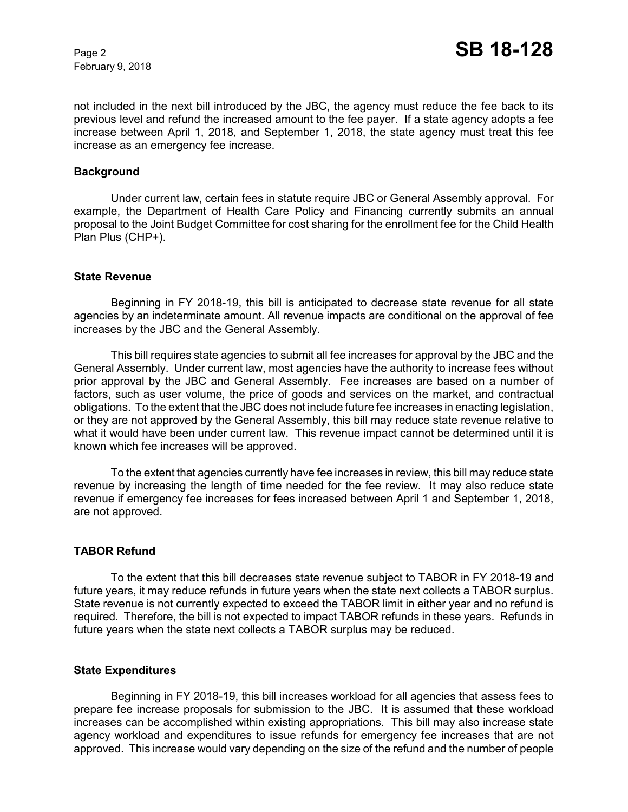February 9, 2018

not included in the next bill introduced by the JBC, the agency must reduce the fee back to its previous level and refund the increased amount to the fee payer. If a state agency adopts a fee increase between April 1, 2018, and September 1, 2018, the state agency must treat this fee increase as an emergency fee increase.

### **Background**

Under current law, certain fees in statute require JBC or General Assembly approval. For example, the Department of Health Care Policy and Financing currently submits an annual proposal to the Joint Budget Committee for cost sharing for the enrollment fee for the Child Health Plan Plus (CHP+).

#### **State Revenue**

Beginning in FY 2018-19, this bill is anticipated to decrease state revenue for all state agencies by an indeterminate amount. All revenue impacts are conditional on the approval of fee increases by the JBC and the General Assembly.

This bill requires state agencies to submit all fee increases for approval by the JBC and the General Assembly. Under current law, most agencies have the authority to increase fees without prior approval by the JBC and General Assembly. Fee increases are based on a number of factors, such as user volume, the price of goods and services on the market, and contractual obligations. To the extent that the JBC does not include future fee increases in enacting legislation, or they are not approved by the General Assembly, this bill may reduce state revenue relative to what it would have been under current law. This revenue impact cannot be determined until it is known which fee increases will be approved.

To the extent that agencies currently have fee increases in review, this bill may reduce state revenue by increasing the length of time needed for the fee review. It may also reduce state revenue if emergency fee increases for fees increased between April 1 and September 1, 2018, are not approved.

## **TABOR Refund**

To the extent that this bill decreases state revenue subject to TABOR in FY 2018-19 and future years, it may reduce refunds in future years when the state next collects a TABOR surplus. State revenue is not currently expected to exceed the TABOR limit in either year and no refund is required. Therefore, the bill is not expected to impact TABOR refunds in these years. Refunds in future years when the state next collects a TABOR surplus may be reduced.

#### **State Expenditures**

Beginning in FY 2018-19, this bill increases workload for all agencies that assess fees to prepare fee increase proposals for submission to the JBC. It is assumed that these workload increases can be accomplished within existing appropriations. This bill may also increase state agency workload and expenditures to issue refunds for emergency fee increases that are not approved. This increase would vary depending on the size of the refund and the number of people